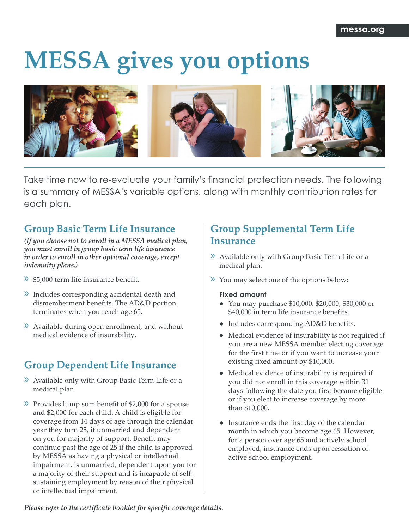# **MESSA gives you options**



Take time now to re-evaluate your family's financial protection needs. The following is a summary of MESSA's variable options, along with monthly contribution rates for each plan.

# **Group Basic Term Life Insurance**

*(If you choose not to enroll in a MESSA medical plan, you must enroll in group basic term life insurance in order to enroll in other optional coverage, except indemnity plans.)*

- » \$5,000 term life insurance benefit.
- » Includes corresponding accidental death and dismemberment benefits. The AD&D portion terminates when you reach age 65.
- » Available during open enrollment, and without medical evidence of insurability.

# **Group Dependent Life Insurance**

- » Available only with Group Basic Term Life or a medical plan.
- » Provides lump sum benefit of \$2,000 for a spouse and \$2,000 for each child. A child is eligible for coverage from 14 days of age through the calendar year they turn 25, if unmarried and dependent on you for majority of support. Benefit may continue past the age of 25 if the child is approved by MESSA as having a physical or intellectual impairment, is unmarried, dependent upon you for a majority of their support and is incapable of selfsustaining employment by reason of their physical or intellectual impairment.

# **Group Supplemental Term Life Insurance**

- » Available only with Group Basic Term Life or a medical plan.
- » You may select one of the options below:

## **Fixed amount**

- You may purchase \$10,000, \$20,000, \$30,000 or \$40,000 in term life insurance benefits.
- Includes corresponding AD&D benefits.
- Medical evidence of insurability is not required if you are a new MESSA member electing coverage for the first time or if you want to increase your existing fixed amount by \$10,000.
- Medical evidence of insurability is required if you did not enroll in this coverage within 31 days following the date you first became eligible or if you elect to increase coverage by more than \$10,000.
- Insurance ends the first day of the calendar month in which you become age 65. However, for a person over age 65 and actively school employed, insurance ends upon cessation of active school employment.

*Please refer to the certificate booklet for specific coverage details.*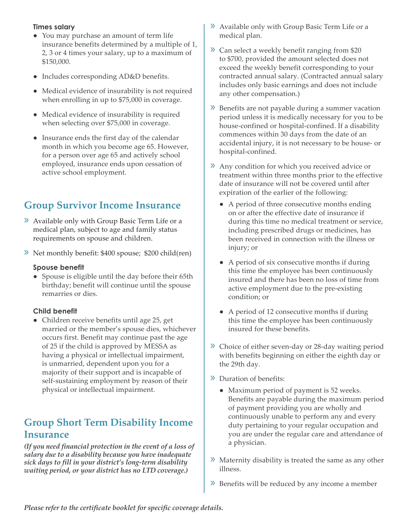## **Times salary**

- You may purchase an amount of term life insurance benefits determined by a multiple of 1, 2, 3 or 4 times your salary, up to a maximum of \$150,000.
- Includes corresponding AD&D benefits.
- Medical evidence of insurability is not required when enrolling in up to \$75,000 in coverage.
- Medical evidence of insurability is required when selecting over \$75,000 in coverage.
- Insurance ends the first day of the calendar month in which you become age 65. However, for a person over age 65 and actively school employed, insurance ends upon cessation of active school employment.

# **Group Survivor Income Insurance**

- » Available only with Group Basic Term Life or a medical plan, subject to age and family status requirements on spouse and children.
- » Net monthly benefit: \$400 spouse; \$200 child(ren)

## **Spouse benefit**

● Spouse is eligible until the day before their 65th birthday; benefit will continue until the spouse remarries or dies.

## **Child benefit**

• Children receive benefits until age 25, get married or the member's spouse dies, whichever occurs first. Benefit may continue past the age of 25 if the child is approved by MESSA as having a physical or intellectual impairment, is unmarried, dependent upon you for a majority of their support and is incapable of self-sustaining employment by reason of their physical or intellectual impairment.

## **Group Short Term Disability Income Insurance**

*(If you need financial protection in the event of a loss of salary due to a disability because you have inadequate sick days to fill in your district's long-term disability waiting period, or your district has no LTD coverage.)*

- » Available only with Group Basic Term Life or a medical plan.
- » Can select a weekly benefit ranging from \$20 to \$700, provided the amount selected does not exceed the weekly benefit corresponding to your contracted annual salary. (Contracted annual salary includes only basic earnings and does not include any other compensation.)
- » Benefits are not payable during a summer vacation period unless it is medically necessary for you to be house-confined or hospital-confined. If a disability commences within 30 days from the date of an accidental injury, it is not necessary to be house- or hospital-confined.
- » Any condition for which you received advice or treatment within three months prior to the effective date of insurance will not be covered until after expiration of the earlier of the following:
	- A period of three consecutive months ending on or after the effective date of insurance if during this time no medical treatment or service, including prescribed drugs or medicines, has been received in connection with the illness or injury; or
	- A period of six consecutive months if during this time the employee has been continuously insured and there has been no loss of time from active employment due to the pre-existing condition; or
	- A period of 12 consecutive months if during this time the employee has been continuously insured for these benefits.
- » Choice of either seven-day or 28-day waiting period with benefits beginning on either the eighth day or the 29th day.
- » Duration of benefits:
	- Maximum period of payment is 52 weeks. Benefits are payable during the maximum period of payment providing you are wholly and continuously unable to perform any and every duty pertaining to your regular occupation and you are under the regular care and attendance of a physician.
- » Maternity disability is treated the same as any other illness.
- » Benefits will be reduced by any income a member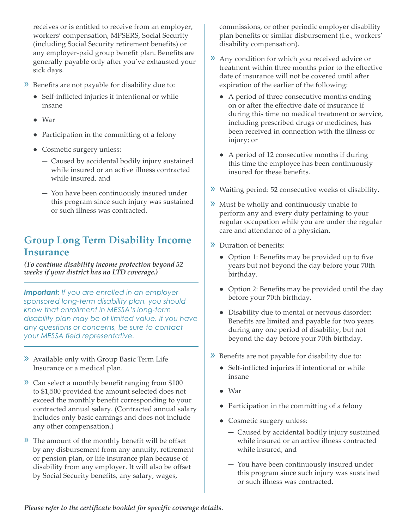receives or is entitled to receive from an employer, workers' compensation, MPSERS, Social Security (including Social Security retirement benefits) or any employer-paid group benefit plan. Benefits are generally payable only after you've exhausted your sick days.

- » Benefits are not payable for disability due to:
	- Self-inflicted injuries if intentional or while insane
	- War
	- Participation in the committing of a felony
	- Cosmetic surgery unless:
		- ― Caused by accidental bodily injury sustained while insured or an active illness contracted while insured, and
		- ― You have been continuously insured under this program since such injury was sustained or such illness was contracted.

# **Group Long Term Disability Income Insurance**

*(To continue disability income protection beyond 52 weeks if your district has no LTD coverage.)* 

*Important: If you are enrolled in an employersponsored long-term disability plan, you should know that enrollment in MESSA's long-term disability plan may be of limited value. If you have any questions or concerns, be sure to contact your MESSA field representative.*

- » Available only with Group Basic Term Life Insurance or a medical plan.
- » Can select a monthly benefit ranging from \$100 to \$1,500 provided the amount selected does not exceed the monthly benefit corresponding to your contracted annual salary. (Contracted annual salary includes only basic earnings and does not include any other compensation.)
- » The amount of the monthly benefit will be offset by any disbursement from any annuity, retirement or pension plan, or life insurance plan because of disability from any employer. It will also be offset by Social Security benefits, any salary, wages,

commissions, or other periodic employer disability plan benefits or similar disbursement (i.e., workers' disability compensation).

- » Any condition for which you received advice or treatment within three months prior to the effective date of insurance will not be covered until after expiration of the earlier of the following:
	- A period of three consecutive months ending on or after the effective date of insurance if during this time no medical treatment or service, including prescribed drugs or medicines, has been received in connection with the illness or injury; or
	- A period of 12 consecutive months if during this time the employee has been continuously insured for these benefits.
- » Waiting period: 52 consecutive weeks of disability.
- » Must be wholly and continuously unable to perform any and every duty pertaining to your regular occupation while you are under the regular care and attendance of a physician.
- » Duration of benefits:
	- Option 1: Benefits may be provided up to five years but not beyond the day before your 70th birthday.
	- Option 2: Benefits may be provided until the day before your 70th birthday.
	- Disability due to mental or nervous disorder: Benefits are limited and payable for two years during any one period of disability, but not beyond the day before your 70th birthday.
- » Benefits are not payable for disability due to:
	- Self-inflicted injuries if intentional or while insane
	- War
	- Participation in the committing of a felony
	- Cosmetic surgery unless:
		- ― Caused by accidental bodily injury sustained while insured or an active illness contracted while insured, and
		- ― You have been continuously insured under this program since such injury was sustained or such illness was contracted.

*Please refer to the certificate booklet for specific coverage details.*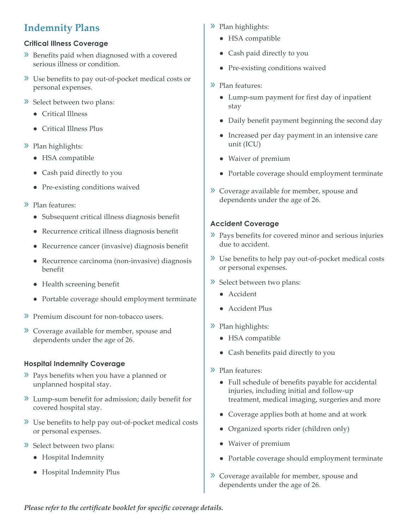# **Indemnity Plans**

## **Critical Illness Coverage**

- » Benefits paid when diagnosed with a covered serious illness or condition.
- » Use benefits to pay out-of-pocket medical costs or personal expenses.
- » Select between two plans:
	- Critical Illness
	- Critical Illness Plus
- » Plan highlights:
	- HSA compatible
	- Cash paid directly to you
	- Pre-existing conditions waived
- » Plan features:
	- Subsequent critical illness diagnosis benefit
	- Recurrence critical illness diagnosis benefit
	- Recurrence cancer (invasive) diagnosis benefit
	- Recurrence carcinoma (non-invasive) diagnosis benefit
	- Health screening benefit
	- Portable coverage should employment terminate
- » Premium discount for non-tobacco users.
- » Coverage available for member, spouse and dependents under the age of 26.

## **Hospital Indemnity Coverage**

- » Pays benefits when you have a planned or unplanned hospital stay.
- » Lump-sum benefit for admission; daily benefit for covered hospital stay.
- » Use benefits to help pay out-of-pocket medical costs or personal expenses.
- » Select between two plans:
	- Hospital Indemnity
	- Hospital Indemnity Plus
- » Plan highlights:
	- HSA compatible
	- Cash paid directly to you
	- Pre-existing conditions waived
- » Plan features:
	- Lump-sum payment for first day of inpatient stay
	- Daily benefit payment beginning the second day
	- Increased per day payment in an intensive care unit (ICU)
	- Waiver of premium
	- Portable coverage should employment terminate
- » Coverage available for member, spouse and dependents under the age of 26.

## **Accident Coverage**

- » Pays benefits for covered minor and serious injuries due to accident.
- » Use benefits to help pay out-of-pocket medical costs or personal expenses.
- » Select between two plans:
	- Accident
	- Accident Plus
- » Plan highlights:
	- HSA compatible
	- Cash benefits paid directly to you
- » Plan features:
	- Full schedule of benefits payable for accidental injuries, including initial and follow-up treatment, medical imaging, surgeries and more
	- Coverage applies both at home and at work
	- Organized sports rider (children only)
	- Waiver of premium
	- Portable coverage should employment terminate
- » Coverage available for member, spouse and dependents under the age of 26.

*Please refer to the certificate booklet for specific coverage details.*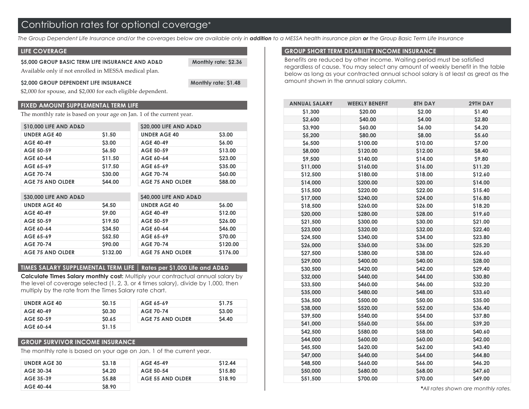The Group Dependent Life Insurance and/or the coverages below are available only in **addition** to a MESSA health insurance plan **or** the Group Basic Term Life Insurance

#### **LIFE COVERAGE**

#### **\$5,000 GROUP BASIC TERM LIFE INSURANCE AND AD&D Monthly rate: \$2.36**  Available only if not enrolled in MESSA medical plan.

#### \$2,000 GROUP DEPENDENT LIFE INSURANCE Monthly rate: \$1.48

\$2,000 for spouse, and \$2,000 for each eligible dependent.

#### **FIXED AMOUNT SUPPLEMENTAL TERM LIFE**

The monthly rate is based on your age on Jan. 1 of the current year.

| \$10,000 LIFE AND AD&D  |              | \$20,000 LIFE AND AD&D  |               |
|-------------------------|--------------|-------------------------|---------------|
| <b>UNDER AGE 40</b>     | \$1.50       | <b>UNDER AGE 40</b>     | \$3.00        |
| <b>AGE 40-49</b>        | \$3.00       | <b>AGE 40-49</b>        | <b>S6.00</b>  |
| AGE 50-59               | <b>S6.50</b> | AGE 50-59               | \$13.00       |
| AGE 60-64               | \$11.50      | AGE 60-64               | \$23.00       |
| AGE 65-69               | \$17.50      | AGE 65-69               | \$35.00       |
| <b>AGE 70-74</b>        | \$30.00      | <b>AGE 70-74</b>        | \$60.00       |
| <b>AGE 75 AND OLDER</b> | \$44.00      | <b>AGE 75 AND OLDER</b> | <b>S88.00</b> |

| \$30,000 LIFE AND AD&D  |               | \$40,000 LIFE AND AD&D  |                |
|-------------------------|---------------|-------------------------|----------------|
| <b>UNDER AGE 40</b>     | <b>S4.50</b>  | <b>UNDER AGE 40</b>     | <b>S6.00</b>   |
| <b>AGE 40-49</b>        | <b>S9.00</b>  | <b>AGE 40-49</b>        | \$12.00        |
| AGE 50-59               | \$19.50       | AGE 50-59               | <b>S26.00</b>  |
| AGE 60-64               | \$34.50       | AGE 60-64               | \$46.00        |
| AGE 65-69               | <b>S52.50</b> | AGE 65-69               | <b>\$70.00</b> |
| <b>AGE 70-74</b>        | \$90.00       | <b>AGE 70-74</b>        | \$120.00       |
| <b>AGE 75 AND OLDER</b> | \$132.00      | <b>AGE 75 AND OLDER</b> | \$176.00       |

#### **TIMES SALARY SUPPLEMENTAL TERM LIFE | Rates per \$1,000 Life and AD&D**

**Calculate Times Salary monthly cost:** Multiply your contractual annual salary by the level of coverage selected (1, 2, 3, or 4 times salary), divide by 1,000, then multiply by the rate from the Times Salary rate chart.

| <b>UNDER AGE 40</b> | \$0.15       | AGE 65-69        | \$1.75 |
|---------------------|--------------|------------------|--------|
| AGE 40-49           | <b>SO.30</b> | <b>AGE 70-74</b> | \$3.00 |
| AGE 50-59           | <b>SO.65</b> | AGE 75 AND OLDER | \$4.40 |
| AGE 60-64           | \$1.15       |                  |        |

#### **GROUP SURVIVOR INCOME INSURANCE**

The monthly rate is based on your age on Jan. 1 of the current year.

| <b>UNDER AGE 30</b> | <b>S3.18</b> | AGE 45-49        | \$12.44 |
|---------------------|--------------|------------------|---------|
| AGE 30-34           | <b>S4.20</b> | AGE 50-54        | \$15.80 |
| AGE 35-39           | <b>S5.88</b> | AGE 55 AND OLDER | \$18.90 |
| <b>AGE 40-44</b>    | <b>S8.90</b> |                  |         |

#### **GROUP SHORT TERM DISABILITY INCOME INSURANCE**

Benefits are reduced by other income. Waiting period must be satisfied regardless of cause. You may select any amount of weekly benefit in the table below as long as your contracted annual school salary is at least as great as the amount shown in the annual salary column.

| <b>ANNUAL SALARY</b> | <b>WEEKLY BENEFIT</b> | <b>8TH DAY</b> | 29TH DAY |
|----------------------|-----------------------|----------------|----------|
| \$1,300              | \$20.00               | \$2.00         | \$1.40   |
| \$2,600              | \$40.00               | \$4.00         | \$2.80   |
| \$3,900              | \$60.00               | \$6.00         | \$4.20   |
| \$5,200              | \$80.00               | \$8.00         | \$5.60   |
| \$6,500              | \$100.00              | \$10.00        | \$7.00   |
| \$8,000              | \$120.00              | \$12.00        | \$8.40   |
| \$9,500              | \$140.00              | \$14.00        | \$9.80   |
| \$11,000             | \$160.00              | \$16.00        | \$11.20  |
| \$12,500             | \$180.00              | \$18.00        | \$12.60  |
| \$14,000             | \$200.00              | \$20.00        | \$14.00  |
| \$15,500             | \$220.00              | \$22.00        | \$15.40  |
| \$17,000             | \$240.00              | \$24.00        | \$16.80  |
| \$18,500             | \$260.00              | \$26.00        | \$18.20  |
| \$20,000             | \$280.00              | \$28.00        | \$19.60  |
| \$21,500             | \$300.00              | \$30.00        | \$21.00  |
| \$23,000             | \$320.00              | \$32.00        | \$22.40  |
| \$24,500             | \$340.00              | \$34.00        | \$23.80  |
| \$26,000             | \$360.00              | \$36.00        | \$25.20  |
| \$27,500             | \$380.00              | \$38.00        | \$26.60  |
| \$29,000             | \$400.00              | \$40.00        | \$28.00  |
| \$30,500             | \$420.00              | \$42.00        | \$29.40  |
| \$32,000             | \$440.00              | \$44.00        | \$30.80  |
| \$33,500             | \$460.00              | \$46.00        | \$32.20  |
| \$35,000             | \$480.00              | \$48.00        | \$33.60  |
| \$36,500             | \$500.00              | \$50.00        | \$35.00  |
| \$38,000             | \$520.00              | \$52.00        | \$36.40  |
| \$39,500             | \$540.00              | \$54.00        | \$37.80  |
| \$41,000             | \$560.00              | \$56.00        | \$39.20  |
| \$42,500             | \$580.00              | \$58.00        | \$40.60  |
| \$44,000             | \$600.00              | \$60.00        | \$42.00  |
| \$45,500             | \$620.00              | \$62.00        | \$43.40  |
| \$47,000             | \$640.00              | \$64.00        | \$44.80  |
| \$48,500             | \$660.00              | \$66.00        | \$46.20  |
| \$50,000             | \$680.00              | \$68.00        | \$47.60  |
| \$51,500             | \$700.00              | \$70.00        | \$49.00  |